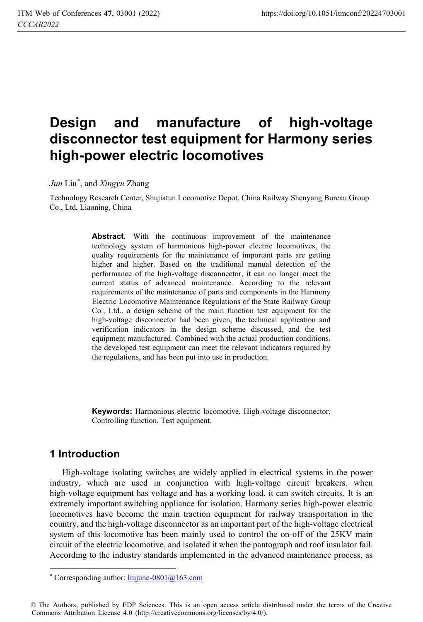# **Design and manufacture of high-voltage disconnector test equipment for Harmony series high-power electric locomotives**

*Jun* Liu\* , and *Xingyu* Zhang

Technology Research Center, Shujiatun Locomotive Depot, China Railway Shenyang Bureau Group Co., Ltd, Liaoning, China

> Abstract. With the continuous improvement of the maintenance technology system of harmonious high-power electric locomotives, the quality requirements for the maintenance of important parts are getting higher and higher. Based on the traditional manual detection of the performance of the high-voltage disconnector, it can no longer meet the current status of advanced maintenance. According to the relevant requirements of the maintenance of parts and components in the Harmony Electric Locomotive Maintenance Regulations of the State Railway Group Co., Ltd., a design scheme of the main function test equipment for the high-voltage disconnector had been given, the technical application and verification indicators in the design scheme discussed, and the test equipment manufactured. Combined with the actual production conditions, the developed test equipment can meet the relevant indicators required by the regulations, and has been put into use in production.

> **Keywords:** Harmonious electric locomotive, High-voltage disconnector, Controlling function, Test equipment.

# **1 Introduction**

 $\overline{a}$ 

High-voltage isolating switches are widely applied in electrical systems in the power industry, which are used in conjunction with high-voltage circuit breakers. when high-voltage equipment has voltage and has a working load, it can switch circuits. It is an extremely important switching appliance for isolation. Harmony series high-power electric locomotives have become the main traction equipment for railway transportation in the country, and the high-voltage disconnector as an important part of the high-voltage electrical system of this locomotive has been mainly used to control the on-off of the 25KV main circuit of the electric locomotive, and isolated it when the pantograph and roof insulator fail. According to the industry standards implemented in the advanced maintenance process, as

<sup>\*</sup> Corresponding author:  $\frac{1}{\text{i}}$  University 20163.com

<sup>©</sup> The Authors, published by EDP Sciences. This is an open access article distributed under the terms of the Creative Commons Attribution License 4.0 (http://creativecommons.org/licenses/by/4.0/).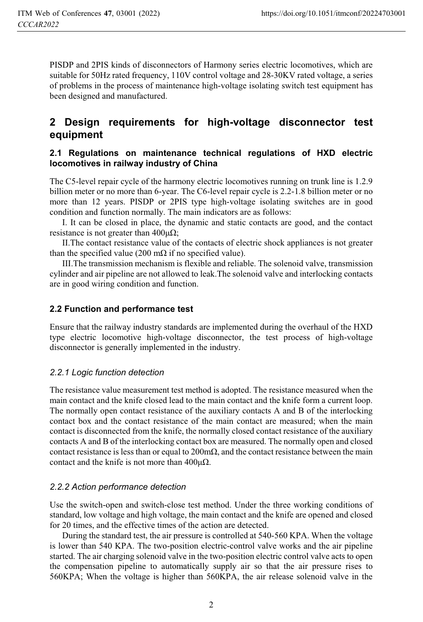PISDP and 2PIS kinds of disconnectors of Harmony series electric locomotives, which are suitable for 50Hz rated frequency, 110V control voltage and 28-30KV rated voltage, a series of problems in the process of maintenance high-voltage isolating switch test equipment has been designed and manufactured.

# **2 Design requirements for high-voltage disconnector test equipment**

#### **2.1 Regulations on maintenance technical regulations of HXD electric locomotives in railway industry of China**

The C5-level repair cycle of the harmony electric locomotives running on trunk line is 1.2.9 billion meter or no more than 6-year. The C6-level repair cycle is 2.2-1.8 billion meter or no more than 12 years. PISDP or 2PIS type high-voltage isolating switches are in good condition and function normally. The main indicators are as follows:

I. It can be closed in place, the dynamic and static contacts are good, and the contact resistance is not greater than  $400\mu\Omega$ ;

II.The contact resistance value of the contacts of electric shock appliances is not greater than the specified value (200 m $\Omega$  if no specified value).

III.The transmission mechanism is flexible and reliable. The solenoid valve, transmission cylinder and air pipeline are not allowed to leak.The solenoid valve and interlocking contacts are in good wiring condition and function.

#### **2.2 Function and performance test**

Ensure that the railway industry standards are implemented during the overhaul of the HXD type electric locomotive high-voltage disconnector, the test process of high-voltage disconnector is generally implemented in the industry.

#### *2.2.1 Logic function detection*

The resistance value measurement test method is adopted. The resistance measured when the main contact and the knife closed lead to the main contact and the knife form a current loop. The normally open contact resistance of the auxiliary contacts A and B of the interlocking contact box and the contact resistance of the main contact are measured; when the main contact is disconnected from the knife, the normally closed contact resistance of the auxiliary contacts A and B of the interlocking contact box are measured. The normally open and closed contact resistance is less than or equal to  $200 \text{mA}$ , and the contact resistance between the main contact and the knife is not more than  $400\mu\Omega$ .

#### *2.2.2 Action performance detection*

Use the switch-open and switch-close test method. Under the three working conditions of standard, low voltage and high voltage, the main contact and the knife are opened and closed for 20 times, and the effective times of the action are detected.

During the standard test, the air pressure is controlled at 540-560 KPA. When the voltage is lower than 540 KPA. The two-position electric-control valve works and the air pipeline started. The air charging solenoid valve in the two-position electric control valve acts to open the compensation pipeline to automatically supply air so that the air pressure rises to 560KPA; When the voltage is higher than 560KPA, the air release solenoid valve in the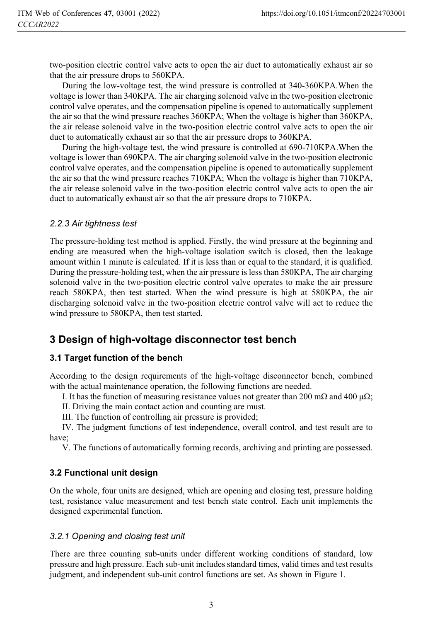two-position electric control valve acts to open the air duct to automatically exhaust air so that the air pressure drops to 560KPA.

During the low-voltage test, the wind pressure is controlled at 340-360KPA.When the voltage is lower than 340KPA. The air charging solenoid valve in the two-position electronic control valve operates, and the compensation pipeline is opened to automatically supplement the air so that the wind pressure reaches 360KPA; When the voltage is higher than 360KPA, the air release solenoid valve in the two-position electric control valve acts to open the air duct to automatically exhaust air so that the air pressure drops to 360KPA.

During the high-voltage test, the wind pressure is controlled at 690-710KPA.When the voltage is lower than 690KPA. The air charging solenoid valve in the two-position electronic control valve operates, and the compensation pipeline is opened to automatically supplement the air so that the wind pressure reaches 710KPA; When the voltage is higher than 710KPA, the air release solenoid valve in the two-position electric control valve acts to open the air duct to automatically exhaust air so that the air pressure drops to 710KPA.

#### *2.2.3 Air tightness test*

The pressure-holding test method is applied. Firstly, the wind pressure at the beginning and ending are measured when the high-voltage isolation switch is closed, then the leakage amount within 1 minute is calculated. If it is less than or equal to the standard, it is qualified. During the pressure-holding test, when the air pressure is less than 580KPA, The air charging solenoid valve in the two-position electric control valve operates to make the air pressure reach 580KPA, then test started. When the wind pressure is high at 580KPA, the air discharging solenoid valve in the two-position electric control valve will act to reduce the wind pressure to 580KPA, then test started.

# **3 Design of high-voltage disconnector test bench**

## **3.1 Target function of the bench**

According to the design requirements of the high-voltage disconnector bench, combined with the actual maintenance operation, the following functions are needed.

I. It has the function of measuring resistance values not greater than 200 m $\Omega$  and 400  $\mu\Omega$ ;

II. Driving the main contact action and counting are must.

III. The function of controlling air pressure is provided;

IV. The judgment functions of test independence, overall control, and test result are to have;

V. The functions of automatically forming records, archiving and printing are possessed.

## **3.2 Functional unit design**

On the whole, four units are designed, which are opening and closing test, pressure holding test, resistance value measurement and test bench state control. Each unit implements the designed experimental function.

## *3.2.1 Opening and closing test unit*

There are three counting sub-units under different working conditions of standard, low pressure and high pressure. Each sub-unit includes standard times, valid times and test results judgment, and independent sub-unit control functions are set. As shown in Figure 1.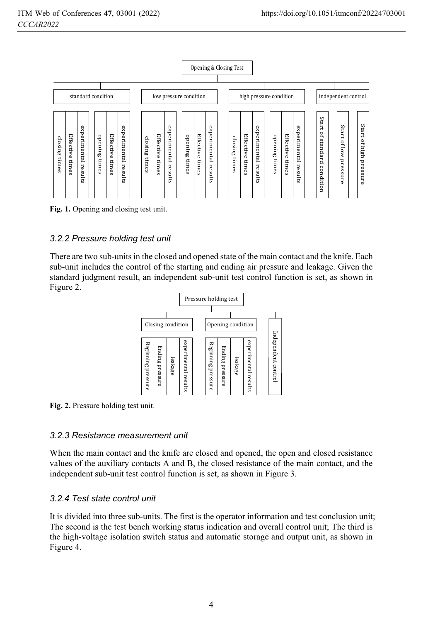

**Fig. 1.** Opening and closing test unit.

## *3.2.2 Pressure holding test unit*

There are two sub-units in the closed and opened state of the main contact and the knife. Each sub-unit includes the control of the starting and ending air pressure and leakage. Given the standard judgment result, an independent sub-unit test control function is set, as shown in Figure 2.



**Fig. 2.** Pressure holding test unit.

## *3.2.3 Resistance measurement unit*

When the main contact and the knife are closed and opened, the open and closed resistance values of the auxiliary contacts A and B, the closed resistance of the main contact, and the independent sub-unit test control function is set, as shown in Figure 3.

## *3.2.4 Test state control unit*

It is divided into three sub-units. The first is the operator information and test conclusion unit; The second is the test bench working status indication and overall control unit; The third is the high-voltage isolation switch status and automatic storage and output unit, as shown in Figure 4.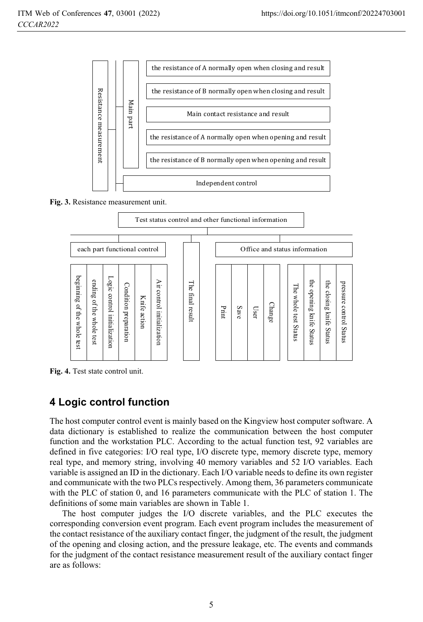

**Fig. 3.** Resistance measurement unit.



**Fig. 4.** Test state control unit.

# **4 Logic control function**

The host computer control event is mainly based on the Kingview host computer software. A data dictionary is established to realize the communication between the host computer function and the workstation PLC. According to the actual function test, 92 variables are defined in five categories: I/O real type, I/O discrete type, memory discrete type, memory real type, and memory string, involving 40 memory variables and 52 I/O variables. Each variable is assigned an ID in the dictionary. Each I/O variable needs to define its own register and communicate with the two PLCs respectively. Among them, 36 parameters communicate with the PLC of station 0, and 16 parameters communicate with the PLC of station 1. The definitions of some main variables are shown in Table 1.

The host computer judges the I/O discrete variables, and the PLC executes the corresponding conversion event program. Each event program includes the measurement of the contact resistance of the auxiliary contact finger, the judgment of the result, the judgment of the opening and closing action, and the pressure leakage, etc. The events and commands for the judgment of the contact resistance measurement result of the auxiliary contact finger are as follows: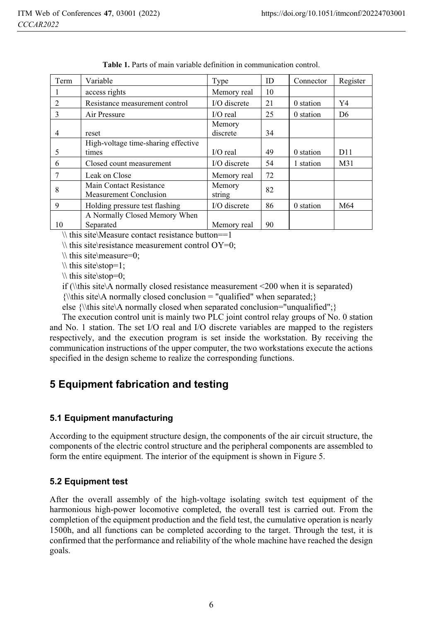| Term          | Variable                                                 | Type               | ID | Connector | Register        |
|---------------|----------------------------------------------------------|--------------------|----|-----------|-----------------|
|               | access rights                                            | Memory real        | 10 |           |                 |
| $\mathcal{L}$ | Resistance measurement control                           | $I/O$ discrete     | 21 | 0 station | Y4              |
| 3             | Air Pressure                                             | $I/O$ real         | 25 | 0 station | D <sub>6</sub>  |
| 4             | reset                                                    | Memory<br>discrete | 34 |           |                 |
| 5             | High-voltage time-sharing effective<br>times             | $I/O$ real         | 49 | 0 station | D11             |
| 6             | Closed count measurement                                 | I/O discrete       | 54 | 1 station | M <sub>31</sub> |
| 7             | Leak on Close                                            | Memory real        | 72 |           |                 |
| 8             | Main Contact Resistance<br><b>Measurement Conclusion</b> | Memory<br>string   | 82 |           |                 |
| 9             | Holding pressure test flashing                           | I/O discrete       | 86 | 0 station | M64             |
| 10            | A Normally Closed Memory When<br>Separated               | Memory real        | 90 |           |                 |

**Table 1.** Parts of main variable definition in communication control.

 $\setminus \$  this site Measure contact resistance button==1

 $\forall$  this site\resistance measurement control OY=0;

 $\h$  this site measure=0;

 $\setminus$  this site stop=1:

 $\hbox{this site}\simeq=0;$ 

if (\\this site\A normally closed resistance measurement <200 when it is separated)

 ${\,\{\}$  is site A normally closed conclusion = "qualified" when separated; {

else {\\this site\A normally closed when separated conclusion="unqualified";}

The execution control unit is mainly two PLC joint control relay groups of No. 0 station and No. 1 station. The set I/O real and I/O discrete variables are mapped to the registers respectively, and the execution program is set inside the workstation. By receiving the communication instructions of the upper computer, the two workstations execute the actions specified in the design scheme to realize the corresponding functions.

# **5 Equipment fabrication and testing**

#### **5.1 Equipment manufacturing**

According to the equipment structure design, the components of the air circuit structure, the components of the electric control structure and the peripheral components are assembled to form the entire equipment. The interior of the equipment is shown in Figure 5.

#### **5.2 Equipment test**

After the overall assembly of the high-voltage isolating switch test equipment of the harmonious high-power locomotive completed, the overall test is carried out. From the completion of the equipment production and the field test, the cumulative operation is nearly 1500h, and all functions can be completed according to the target. Through the test, it is confirmed that the performance and reliability of the whole machine have reached the design goals.